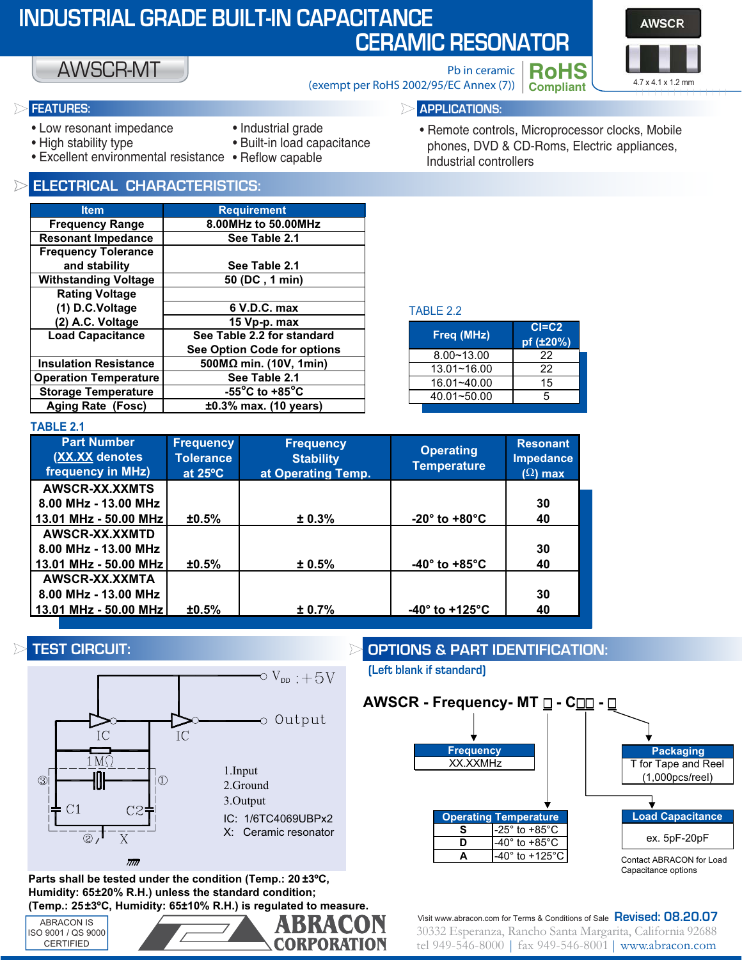| <b>INDUSTRIAL GRADE BUILT-IN CAPACITANCE</b><br><b>CERAMIC RESONATOR</b> |                                                                                                                                                                                                                                                                                                                                                                                           |                                                           |                                                                                                                                                                                                                                                                                                               |                                                                                        |                                                            | <b>AWSCR</b>       |
|--------------------------------------------------------------------------|-------------------------------------------------------------------------------------------------------------------------------------------------------------------------------------------------------------------------------------------------------------------------------------------------------------------------------------------------------------------------------------------|-----------------------------------------------------------|---------------------------------------------------------------------------------------------------------------------------------------------------------------------------------------------------------------------------------------------------------------------------------------------------------------|----------------------------------------------------------------------------------------|------------------------------------------------------------|--------------------|
|                                                                          | <b>AWSCR-MT</b>                                                                                                                                                                                                                                                                                                                                                                           |                                                           |                                                                                                                                                                                                                                                                                                               | Pb in ceramic<br>(exempt per RoHS 2002/95/EC Annex (7))                                | <b>RoHS</b><br><b>Compliant</b>                            | 4.7 x 4.1 x 1.2 mm |
|                                                                          | <b>FEATURES:</b><br><b>APPLICATIONS:</b>                                                                                                                                                                                                                                                                                                                                                  |                                                           |                                                                                                                                                                                                                                                                                                               |                                                                                        |                                                            |                    |
|                                                                          | • Low resonant impedance<br>• Industrial grade<br>• High stability type<br>· Built-in load capacitance<br>• Excellent environmental resistance • Reflow capable                                                                                                                                                                                                                           |                                                           | · Remote controls, Microprocessor clocks, Mobile<br>phones, DVD & CD-Roms, Electric appliances,<br>Industrial controllers                                                                                                                                                                                     |                                                                                        |                                                            |                    |
|                                                                          | <b>ELECTRICAL CHARACTERISTICS:</b>                                                                                                                                                                                                                                                                                                                                                        |                                                           |                                                                                                                                                                                                                                                                                                               |                                                                                        |                                                            |                    |
|                                                                          | <b>Item</b><br><b>Frequency Range</b><br><b>Resonant Impedance</b><br><b>Frequency Tolerance</b><br>and stability<br><b>Withstanding Voltage</b><br><b>Rating Voltage</b><br>(1) D.C.Voltage<br>(2) A.C. Voltage<br><b>Load Capacitance</b><br><b>Insulation Resistance</b><br><b>Operation Temperature</b><br><b>Storage Temperature</b><br><b>Aging Rate (Fosc)</b><br><b>TABLE 2.1</b> |                                                           | <b>Requirement</b><br>8.00MHz to 50.00MHz<br>See Table 2.1<br>See Table 2.1<br>50 (DC, 1 min)<br>6 V.D.C. max<br>15 Vp-p. max<br>See Table 2.2 for standard<br>See Option Code for options<br>500M $\Omega$ min. (10V, 1min)<br>See Table 2.1<br>$-55^{\circ}$ C to +85 $^{\circ}$ C<br>±0.3% max. (10 years) | TABLE 2.2<br>Freq (MHz)<br>$8.00 - 13.00$<br>13.01~16.00<br>16.01~40.00<br>40.01~50.00 | $CI = C2$<br>pf (±20%)<br>22<br>$\overline{22}$<br>15<br>5 |                    |
|                                                                          | <b>Part Number</b><br><b>(XX.XX denotes)</b><br>frequency in MHz)                                                                                                                                                                                                                                                                                                                         | <b>Frequency</b><br><b>Tolerance</b><br>at $25^{\circ}$ C | <b>Frequency</b><br><b>Stability</b><br>at Operating Temp.                                                                                                                                                                                                                                                    | <b>Operating</b><br><b>Temperature</b>                                                 | <b>Resonant</b><br><b>Impedance</b><br>$(\Omega)$ max      |                    |
|                                                                          | AWSCR-XX.XXMTS<br>8.00 MHz - 13.00 MHz<br>13.01 MHz - 50.00 MHz                                                                                                                                                                                                                                                                                                                           | ±0.5%                                                     | ± 0.3%                                                                                                                                                                                                                                                                                                        | -20° to +80°C                                                                          | 30<br>40                                                   |                    |
|                                                                          | AWSCR-XX.XXMTD<br>8.00 MHz - 13.00 MHz<br>13.01 MHz - 50.00 MHz                                                                                                                                                                                                                                                                                                                           | ±0.5%                                                     | ± 0.5%                                                                                                                                                                                                                                                                                                        | -40 $^{\circ}$ to +85 $^{\circ}$ C                                                     | 30<br>40                                                   |                    |
|                                                                          | AWSCR-XX.XXMTA<br>8.00 MHz - 13.00 MHz<br>13.01 MHz - 50.00 MHz                                                                                                                                                                                                                                                                                                                           | ±0.5%                                                     | ± 0.7%                                                                                                                                                                                                                                                                                                        | -40° to +125°C                                                                         | 30<br>40                                                   |                    |

## **TEST CIRCUIT:**



 **Parts shall be tested under the condition (Temp.: 20 ±3ºC, Humidity: 65±20% R.H.) unless the standard condition; (Temp.: 25±3ºC, Humidity: 65±10% R.H.) is regulated to measure.**

ABRACON IS ISO 9001 / QS 9000 CERTIFIED



**OPTIONS & PART IDENTIFICATION:**

**(Left blank if standard)**



 $\frac{3}{2}$  Eq. 246-8000 L fax 949-546-8001 L www.abracon.com  $t_{\text{max}}$  ,  $\frac{1}{2}$  and  $\frac{1}{2}$  ,  $\frac{1}{2}$  ,  $\frac{1}{2}$  ,  $\frac{1}{2}$  ,  $\frac{1}{2}$  ,  $\frac{1}{2}$  ,  $\frac{1}{2}$  ,  $\frac{1}{2}$  ,  $\frac{1}{2}$  ,  $\frac{1}{2}$  ,  $\frac{1}{2}$  ,  $\frac{1}{2}$  ,  $\frac{1}{2}$  ,  $\frac{1}{2}$  ,  $\frac{1}{2}$  ,  $\frac{1}{2}$  ,  $\frac$ Visit www.abracon.com for Terms & Conditions of Sale **Revised: 08.20.07**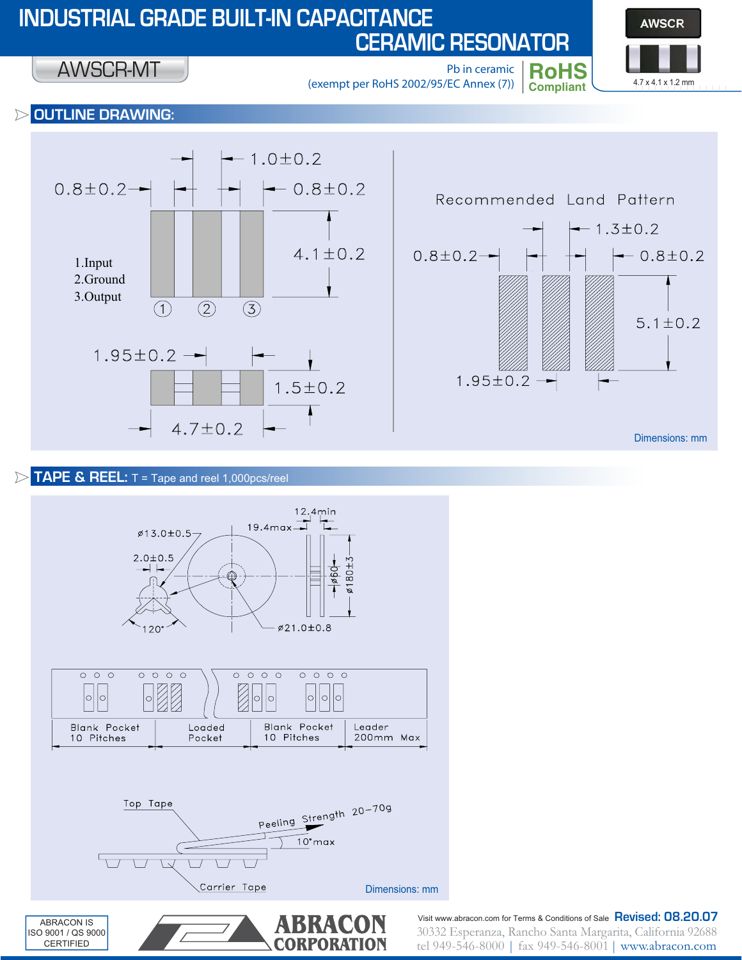# **INDUSTRIAL GRADE BUILT-IN CAPACITANCE CERAMIC RESONATOR**

**AWSCR Compliant** 4.7 x 4.1 x 1.2 mm |||||||||||||||

**RoHS** Pb in ceramic (exempt per RoHS 2002/95/EC Annex (7))

#### **OUTLINE DRAWING:**  $\triangleright$

AWSCR-MT



## **TAPE & REEL:** T = Tape and reel 1,000pcs/reel

CERTIFIED



 $\frac{1}{2}$  Eq. 246-8000 L fax 949-546-8001 L www.abracon.com tel 949-546-8000 | fax 949-546-8001 | www.abracon.com Visit www.abracon.com for Terms & Conditions of Sale **Revised: 08.20.07**